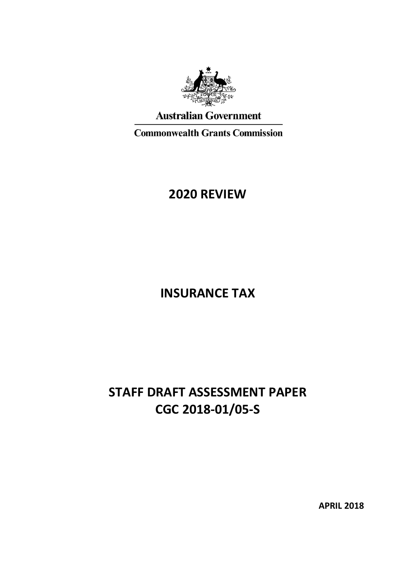

# **Australian Government**

**Commonwealth Grants Commission** 

# **2020 REVIEW**

# **INSURANCE TAX**

# **STAFF DRAFT ASSESSMENT PAPER CGC 2018-01/05-S**

**APRIL 2018**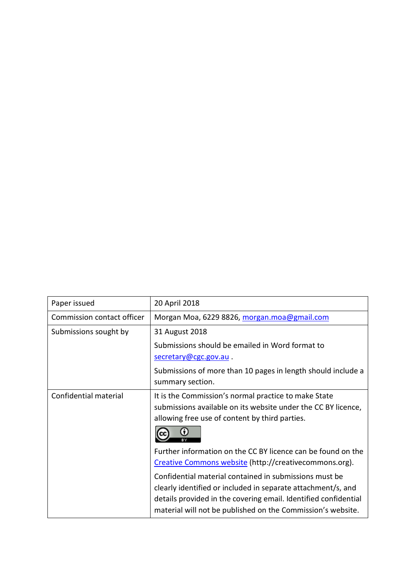| Paper issued               | 20 April 2018                                                                                                                                                                                                                                            |
|----------------------------|----------------------------------------------------------------------------------------------------------------------------------------------------------------------------------------------------------------------------------------------------------|
| Commission contact officer | Morgan Moa, 6229 8826, morgan.moa@gmail.com                                                                                                                                                                                                              |
| Submissions sought by      | 31 August 2018                                                                                                                                                                                                                                           |
|                            | Submissions should be emailed in Word format to                                                                                                                                                                                                          |
|                            | secretary@cgc.gov.au.                                                                                                                                                                                                                                    |
|                            | Submissions of more than 10 pages in length should include a<br>summary section.                                                                                                                                                                         |
| Confidential material      | It is the Commission's normal practice to make State<br>submissions available on its website under the CC BY licence,<br>allowing free use of content by third parties.                                                                                  |
|                            | Further information on the CC BY licence can be found on the<br>Creative Commons website (http://creativecommons.org).                                                                                                                                   |
|                            | Confidential material contained in submissions must be<br>clearly identified or included in separate attachment/s, and<br>details provided in the covering email. Identified confidential<br>material will not be published on the Commission's website. |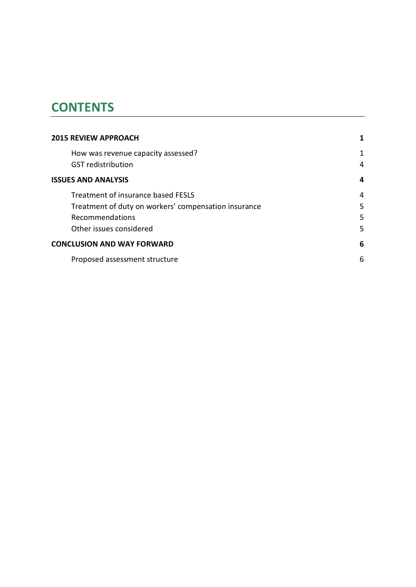# **CONTENTS**

| <b>2015 REVIEW APPROACH</b>                                     |        |
|-----------------------------------------------------------------|--------|
| How was revenue capacity assessed?<br><b>GST</b> redistribution | 1<br>4 |
| <b>ISSUES AND ANALYSIS</b>                                      | 4      |
| Treatment of insurance based FESLS                              | 4      |
| Treatment of duty on workers' compensation insurance            | 5      |
| Recommendations                                                 | 5      |
| Other issues considered                                         | 5      |
| <b>CONCLUSION AND WAY FORWARD</b>                               | 6      |
| Proposed assessment structure                                   | 6      |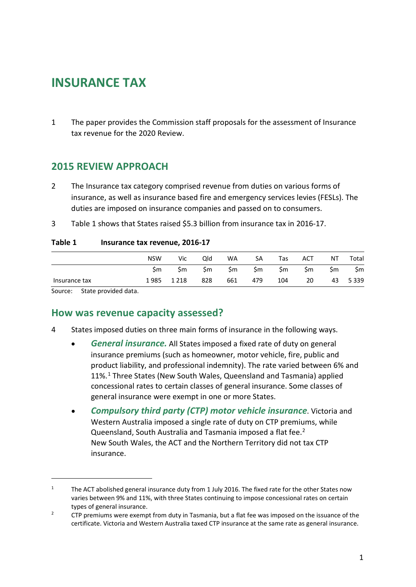# **INSURANCE TAX**

1 The paper provides the Commission staff proposals for the assessment of Insurance tax revenue for the 2020 Review.

### <span id="page-3-0"></span>**2015 REVIEW APPROACH**

- 2 The Insurance tax category comprised revenue from duties on various forms of insurance, as well as insurance based fire and emergency services levies (FESLs). The duties are imposed on insurance companies and passed on to consumers.
- 3 [Table 1](#page-3-2) shows that States raised \$5.3 billion from insurance tax in 2016-17.

#### <span id="page-3-2"></span>**Table 1 Insurance tax revenue, 2016-17**

|               | <b>NSW</b> | Vic     | Qld | WA  | SА  | Tas | <b>ACT</b> | ΝT  | Total   |
|---------------|------------|---------|-----|-----|-----|-----|------------|-----|---------|
|               | Sm         | Sm      | Sm  | Şm  | \$m | \$m | \$m        | \$m | \$m     |
| Insurance tax | 1985       | 1 2 1 8 | 828 | 661 | 479 | 104 | 20         | 43  | 5 3 3 9 |

<span id="page-3-1"></span>Source: State provided data.

 $\overline{a}$ 

#### **How was revenue capacity assessed?**

- 4 States imposed duties on three main forms of insurance in the following ways.
	- *General insurance.* All States imposed a fixed rate of duty on general insurance premiums (such as homeowner, motor vehicle, fire, public and product liability, and professional indemnity). The rate varied between 6% and 11%.[1](#page-3-3) Three States (New South Wales, Queensland and Tasmania) applied concessional rates to certain classes of general insurance. Some classes of general insurance were exempt in one or more States.
	- *Compulsory third party (CTP) motor vehicle insurance*. Victoria and Western Australia imposed a single rate of duty on CTP premiums, while Queensland, South Australia and Tasmania imposed a flat fee.<sup>[2](#page-3-4)</sup> New South Wales, the ACT and the Northern Territory did not tax CTP insurance.

<span id="page-3-3"></span><sup>&</sup>lt;sup>1</sup> The ACT abolished general insurance duty from 1 July 2016. The fixed rate for the other States now varies between 9% and 11%, with three States continuing to impose concessional rates on certain types of general insurance.

<span id="page-3-4"></span><sup>&</sup>lt;sup>2</sup> CTP premiums were exempt from duty in Tasmania, but a flat fee was imposed on the issuance of the certificate. Victoria and Western Australia taxed CTP insurance at the same rate as general insurance.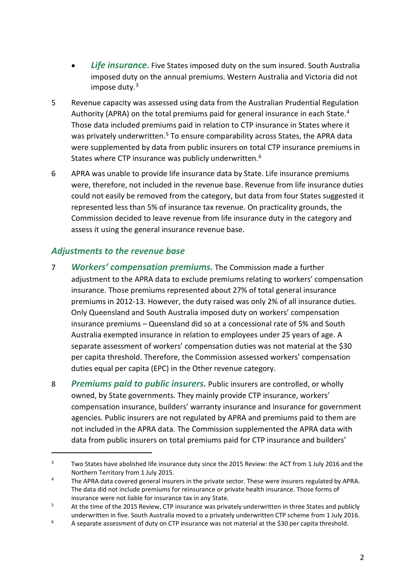- **Life insurance.** Five States imposed duty on the sum insured. South Australia imposed duty on the annual premiums. Western Australia and Victoria did not impose duty.<sup>[3](#page-4-0)</sup>
- 5 Revenue capacity was assessed using data from the Australian Prudential Regulation Authority (APRA) on the total premiums paid for general insurance in each State.<sup>[4](#page-4-1)</sup> Those data included premiums paid in relation to CTP insurance in States where it was privately underwritten.<sup>5</sup> To ensure comparability across States, the APRA data were supplemented by data from public insurers on total CTP insurance premiums in States where CTP insurance was publicly underwritten.<sup>[6](#page-4-3)</sup>
- 6 APRA was unable to provide life insurance data by State. Life insurance premiums were, therefore, not included in the revenue base. Revenue from life insurance duties could not easily be removed from the category, but data from four States suggested it represented less than 5% of insurance tax revenue. On practicality grounds, the Commission decided to leave revenue from life insurance duty in the category and assess it using the general insurance revenue base.

#### *Adjustments to the revenue base*

 $\overline{a}$ 

- 7 *Workers' compensation premiums.* The Commission made a further adjustment to the APRA data to exclude premiums relating to workers' compensation insurance. Those premiums represented about 27% of total general insurance premiums in 2012-13. However, the duty raised was only 2% of all insurance duties. Only Queensland and South Australia imposed duty on workers' compensation insurance premiums – Queensland did so at a concessional rate of 5% and South Australia exempted insurance in relation to employees under 25 years of age. A separate assessment of workers' compensation duties was not material at the \$30 per capita threshold. Therefore, the Commission assessed workers' compensation duties equal per capita (EPC) in the Other revenue category.
- 8 *Premiums paid to public insurers.* Public insurers are controlled, or wholly owned, by State governments. They mainly provide CTP insurance, workers' compensation insurance, builders' warranty insurance and insurance for government agencies. Public insurers are not regulated by APRA and premiums paid to them are not included in the APRA data. The Commission supplemented the APRA data with data from public insurers on total premiums paid for CTP insurance and builders'

<span id="page-4-0"></span><sup>&</sup>lt;sup>3</sup> Two States have abolished life insurance duty since the 2015 Review: the ACT from 1 July 2016 and the Northern Territory from 1 July 2015.

<span id="page-4-1"></span><sup>&</sup>lt;sup>4</sup> The APRA data covered general insurers in the private sector. These were insurers regulated by APRA. The data did not include premiums for reinsurance or private health insurance. Those forms of insurance were not liable for insurance tax in any State.

<span id="page-4-2"></span><sup>&</sup>lt;sup>5</sup> At the time of the 2015 Review, CTP insurance was privately underwritten in three States and publicly underwritten in five. South Australia moved to a privately underwritten CTP scheme from 1 July 2016.

<span id="page-4-3"></span> $6 - A$  separate assessment of duty on CTP insurance was not material at the \$30 per capita threshold.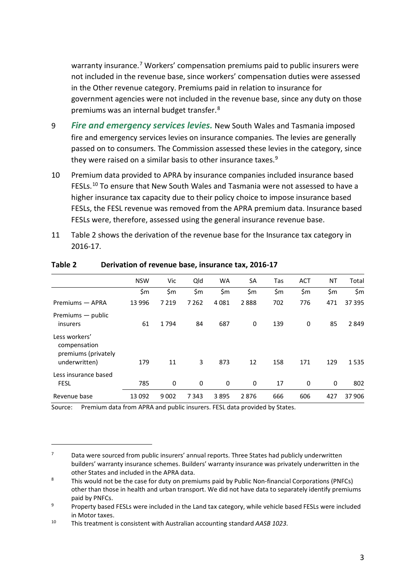warranty insurance.<sup>[7](#page-5-1)</sup> Workers' compensation premiums paid to public insurers were not included in the revenue base, since workers' compensation duties were assessed in the Other revenue category. Premiums paid in relation to insurance for government agencies were not included in the revenue base, since any duty on those premiums was an internal budget transfer. [8](#page-5-2)

- 9 *Fire and emergency services levies.* New South Wales and Tasmania imposed fire and emergency services levies on insurance companies. The levies are generally passed on to consumers. The Commission assessed these levies in the category, since they were raised on a similar basis to other insurance taxes.<sup>[9](#page-5-3)</sup>
- 10 Premium data provided to APRA by insurance companies included insurance based FESLs.<sup>[10](#page-5-4)</sup> To ensure that New South Wales and Tasmania were not assessed to have a higher insurance tax capacity due to their policy choice to impose insurance based FESLs, the FESL revenue was removed from the APRA premium data. Insurance based FESLs were, therefore, assessed using the general insurance revenue base.
- 11 [Table](#page-5-0) 2 shows the derivation of the revenue base for the Insurance tax category in 2016-17.

|                                                                       | <b>NSW</b> | Vic     | Qld      | <b>WA</b> | <b>SA</b> | Tas | <b>ACT</b> | NT    | Total  |
|-----------------------------------------------------------------------|------------|---------|----------|-----------|-----------|-----|------------|-------|--------|
|                                                                       | \$m        | \$m     | \$m      | \$m       | \$m\$     | \$m | \$m        | \$m\$ | \$m    |
| Premiums — APRA                                                       | 13 9 96    | 7 2 1 9 | 7 2 6 2  | 4081      | 2888      | 702 | 776        | 471   | 37 395 |
| Premiums — public<br>insurers                                         | 61         | 1794    | 84       | 687       | 0         | 139 | 0          | 85    | 2849   |
| Less workers'<br>compensation<br>premiums (privately<br>underwritten) | 179        | 11      | 3        | 873       | 12        | 158 | 171        | 129   | 1535   |
| Less insurance based<br><b>FESL</b>                                   | 785        | 0       | $\Omega$ | 0         | 0         | 17  | 0          | 0     | 802    |
| Revenue base                                                          | 13 0 92    | 9002    | 7343     | 3895      | 2876      | 666 | 606        | 427   | 37906  |

#### <span id="page-5-0"></span>**Table 2 Derivation of revenue base, insurance tax, 2016-17**

Source: Premium data from APRA and public insurers. FESL data provided by States.

 $\overline{a}$ 

<span id="page-5-1"></span> $7 - 2$  Data were sourced from public insurers' annual reports. Three States had publicly underwritten builders' warranty insurance schemes. Builders' warranty insurance was privately underwritten in the other States and included in the APRA data.

<span id="page-5-2"></span><sup>&</sup>lt;sup>8</sup> This would not be the case for duty on premiums paid by Public Non-financial Corporations (PNFCs) other than those in health and urban transport. We did not have data to separately identify premiums paid by PNFCs.

<span id="page-5-3"></span><sup>&</sup>lt;sup>9</sup> Property based FESLs were included in the Land tax category, while vehicle based FESLs were included in Motor taxes.

<span id="page-5-4"></span><sup>10</sup> This treatment is consistent with Australian accounting standard *AASB 1023*.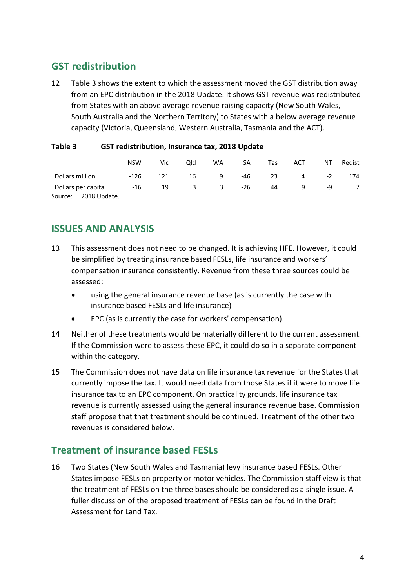# <span id="page-6-0"></span>**GST redistribution**

12 [Table](#page-6-3) 3 shows the extent to which the assessment moved the GST distribution away from an EPC distribution in the 2018 Update. It shows GST revenue was redistributed from States with an above average revenue raising capacity (New South Wales, South Australia and the Northern Territory) to States with a below average revenue capacity (Victoria, Queensland, Western Australia, Tasmania and the ACT).

|                    | <b>NSW</b> | Vic | Qld | <b>WA</b> | SA    | Tas | ACT | ΝT   | Redist |
|--------------------|------------|-----|-----|-----------|-------|-----|-----|------|--------|
| Dollars million    | -126       | 121 | 16  | q         | -46   | 23  | 4   | $-2$ | 174    |
| Dollars per capita | -16        | 19  | 3   | 3         | $-26$ | 44  |     | -9   |        |
|                    |            |     |     |           |       |     |     |      |        |

#### <span id="page-6-3"></span>**Table 3 GST redistribution, Insurance tax, 2018 Update**

<span id="page-6-1"></span>Source: 2018 Update.

## **ISSUES AND ANALYSIS**

- 13 This assessment does not need to be changed. It is achieving HFE. However, it could be simplified by treating insurance based FESLs, life insurance and workers' compensation insurance consistently. Revenue from these three sources could be assessed:
	- using the general insurance revenue base (as is currently the case with insurance based FESLs and life insurance)
	- EPC (as is currently the case for workers' compensation).
- 14 Neither of these treatments would be materially different to the current assessment. If the Commission were to assess these EPC, it could do so in a separate component within the category.
- 15 The Commission does not have data on life insurance tax revenue for the States that currently impose the tax. It would need data from those States if it were to move life insurance tax to an EPC component. On practicality grounds, life insurance tax revenue is currently assessed using the general insurance revenue base. Commission staff propose that that treatment should be continued. Treatment of the other two revenues is considered below.

## <span id="page-6-2"></span>**Treatment of insurance based FESLs**

16 Two States (New South Wales and Tasmania) levy insurance based FESLs. Other States impose FESLs on property or motor vehicles. The Commission staff view is that the treatment of FESLs on the three bases should be considered as a single issue. A fuller discussion of the proposed treatment of FESLs can be found in the Draft Assessment for Land Tax.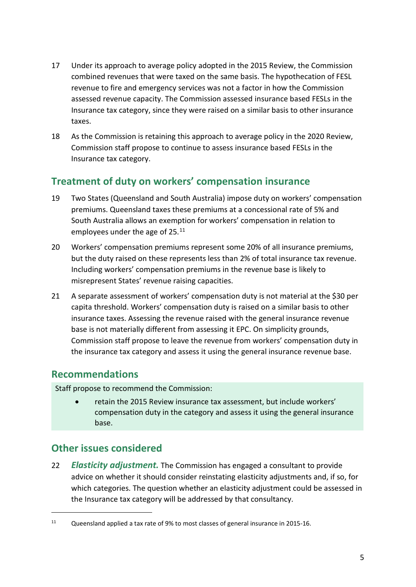- 17 Under its approach to average policy adopted in the 2015 Review, the Commission combined revenues that were taxed on the same basis. The hypothecation of FESL revenue to fire and emergency services was not a factor in how the Commission assessed revenue capacity. The Commission assessed insurance based FESLs in the Insurance tax category, since they were raised on a similar basis to other insurance taxes.
- 18 As the Commission is retaining this approach to average policy in the 2020 Review, Commission staff propose to continue to assess insurance based FESLs in the Insurance tax category.

## <span id="page-7-0"></span>**Treatment of duty on workers' compensation insurance**

- 19 Two States (Queensland and South Australia) impose duty on workers' compensation premiums. Queensland taxes these premiums at a concessional rate of 5% and South Australia allows an exemption for workers' compensation in relation to employees under the age of 25.<sup>[11](#page-7-3)</sup>
- 20 Workers' compensation premiums represent some 20% of all insurance premiums, but the duty raised on these represents less than 2% of total insurance tax revenue. Including workers' compensation premiums in the revenue base is likely to misrepresent States' revenue raising capacities.
- 21 A separate assessment of workers' compensation duty is not material at the \$30 per capita threshold. Workers' compensation duty is raised on a similar basis to other insurance taxes. Assessing the revenue raised with the general insurance revenue base is not materially different from assessing it EPC. On simplicity grounds, Commission staff propose to leave the revenue from workers' compensation duty in the insurance tax category and assess it using the general insurance revenue base.

### <span id="page-7-1"></span>**Recommendations**

Staff propose to recommend the Commission:

• retain the 2015 Review insurance tax assessment, but include workers' compensation duty in the category and assess it using the general insurance base.

# <span id="page-7-2"></span>**Other issues considered**

 $\overline{a}$ 

22 *Elasticity adjustment.* The Commission has engaged a consultant to provide advice on whether it should consider reinstating elasticity adjustments and, if so, for which categories. The question whether an elasticity adjustment could be assessed in the Insurance tax category will be addressed by that consultancy.

<span id="page-7-3"></span><sup>11</sup> Queensland applied a tax rate of 9% to most classes of general insurance in 2015-16.